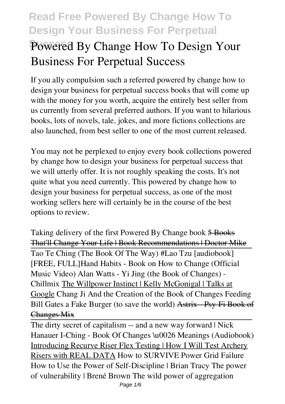# Powered By Change How To Design Your **Business For Perpetual Success**

If you ally compulsion such a referred **powered by change how to design your business for perpetual success** books that will come up with the money for you worth, acquire the entirely best seller from us currently from several preferred authors. If you want to hilarious books, lots of novels, tale, jokes, and more fictions collections are also launched, from best seller to one of the most current released.

You may not be perplexed to enjoy every book collections powered by change how to design your business for perpetual success that we will utterly offer. It is not roughly speaking the costs. It's not quite what you need currently. This powered by change how to design your business for perpetual success, as one of the most working sellers here will certainly be in the course of the best options to review.

Taking delivery of the first Powered By Change book 5 Books That'll Change Your Life | Book Recommendations | Doctor Mike Tao Te Ching (The Book Of The Way) #Lao Tzu [audiobook] [FREE, FULL]*Hand Habits - Book on How to Change (Official Music Video) Alan Watts - Yi Jing (the Book of Changes) - Chillmix* The Willpower Instinct | Kelly McGonigal | Talks at Google *Chang Ji And the Creation of the Book of Changes Feeding Bill Gates a Fake Burger (to save the world)* Astrix - Psy-Fi Book of Changes Mix

The dirty secret of capitalism -- and a new way forward | Nick Hanauer I-Ching - Book Of Changes \u0026 Meanings (Audiobook) Introducing Recurve Riser Flex Testing | How I Will Test Archery Risers with REAL DATA **How to SURVIVE Power Grid Failure** How to Use the Power of Self-Discipline | Brian Tracy **The power of vulnerability | Brené Brown The wild power of aggregation**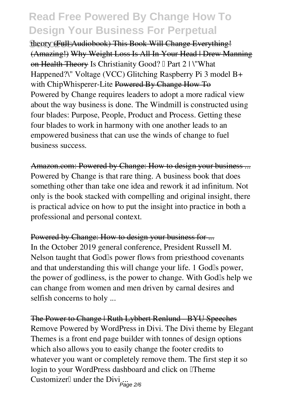**Success theory** (Full Audiobook) This Book Will Change Everything! (Amazing!) Why Weight Loss Is All In Your Head | Drew Manning on Health Theory Is Christianity Good? I Part 2 | \"What Happened?\" Voltage (VCC) Glitching Raspberry Pi 3 model B+ with ChipWhisperer-Lite Powered By Change How To Powered by Change requires leaders to adopt a more radical view about the way business is done. The Windmill is constructed using four blades: Purpose, People, Product and Process. Getting these four blades to work in harmony with one another leads to an empowered business that can use the winds of change to fuel business success.

Amazon.com: Powered by Change: How to design your business ... Powered by Change is that rare thing. A business book that does something other than take one idea and rework it ad infinitum. Not only is the book stacked with compelling and original insight, there is practical advice on how to put the insight into practice in both a professional and personal context.

Powered by Change: How to design your business for ... In the October 2019 general conference, President Russell M. Nelson taught that Godls power flows from priesthood covenants and that understanding this will change your life. 1 Godls power, the power of godliness, is the power to change. With Godls help we can change from women and men driven by carnal desires and selfish concerns to holy ...

The Power to Change | Ruth Lybbert Renlund - BYU Speeches Remove Powered by WordPress in Divi. The Divi theme by Elegant Themes is a front end page builder with tonnes of design options which also allows you to easily change the footer credits to whatever you want or completely remove them. The first step it so login to your WordPress dashboard and click on Theme Customizer<sup>[]</sup> under the Divi ...<br><sup>Page 2/6</sup>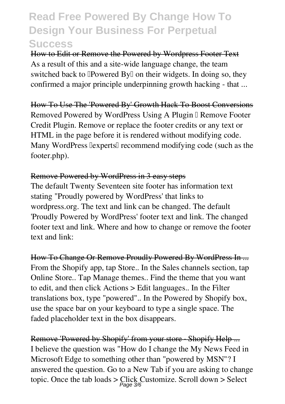How to Edit or Remove the Powered by Wordpress Footer Text As a result of this and a site-wide language change, the team switched back to **Powered By** on their widgets. In doing so, they confirmed a major principle underpinning growth hacking - that ...

How To Use The 'Powered By' Growth Hack To Boost Conversions Removed Powered by WordPress Using A Plugin I Remove Footer Credit Plugin. Remove or replace the footer credits or any text or HTML in the page before it is rendered without modifying code. Many WordPress  $\exists$  experts $\exists$  recommend modifying code (such as the footer.php).

#### Remove Powered by WordPress in 3 easy steps

The default Twenty Seventeen site footer has information text stating "Proudly powered by WordPress' that links to wordpress.org. The text and link can be changed. The default 'Proudly Powered by WordPress' footer text and link. The changed footer text and link. Where and how to change or remove the footer text and link:

How To Change Or Remove Proudly Powered By WordPress In ... From the Shopify app, tap Store.. In the Sales channels section, tap Online Store.. Tap Manage themes.. Find the theme that you want to edit, and then click Actions > Edit languages.. In the Filter translations box, type "powered".. In the Powered by Shopify box, use the space bar on your keyboard to type a single space. The faded placeholder text in the box disappears.

Remove 'Powered by Shopify' from your store · Shopify Help ... I believe the question was "How do I change the My News Feed in Microsoft Edge to something other than "powered by MSN"? I answered the question. Go to a New Tab if you are asking to change topic. Once the tab loads > Click Customize. Scroll down > Select Page 3/6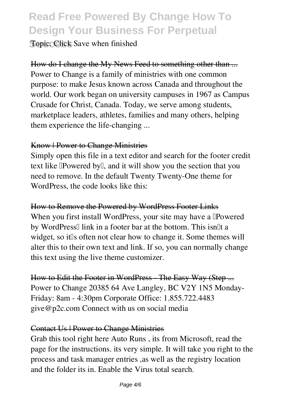**Topic. Click Save when finished** 

How do I change the My News Feed to something other than ... Power to Change is a family of ministries with one common purpose: to make Jesus known across Canada and throughout the world. Our work began on university campuses in 1967 as Campus Crusade for Christ, Canada. Today, we serve among students, marketplace leaders, athletes, families and many others, helping them experience the life-changing ...

#### Know | Power to Change Ministries

Simply open this file in a text editor and search for the footer credit text like **Powered by**, and it will show you the section that you need to remove. In the default Twenty Twenty-One theme for WordPress, the code looks like this:

How to Remove the Powered by WordPress Footer Links

When you first install WordPress, your site may have a **Powered** by WordPress<sup>[]</sup> link in a footer bar at the bottom. This isn<sup>[]</sup>t a widget, so it's often not clear how to change it. Some themes will alter this to their own text and link. If so, you can normally change this text using the live theme customizer.

How to Edit the Footer in WordPress The Easy Way (Step ... Power to Change 20385 64 Ave Langley, BC V2Y 1N5 Monday-Friday: 8am - 4:30pm Corporate Office: 1.855.722.4483 give@p2c.com Connect with us on social media

#### Contact Us | Power to Change Ministries

Grab this tool right here Auto Runs , its from Microsoft, read the page for the instructions. its very simple. It will take you right to the process and task manager entries ,as well as the registry location and the folder its in. Enable the Virus total search.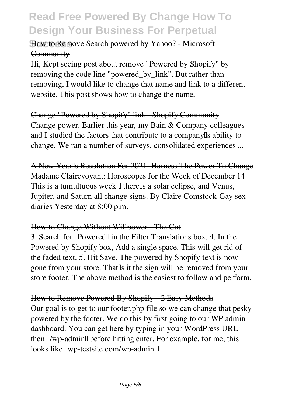### How to Remove Search powered by Yahoo? Microsoft **Community**

Hi, Kept seeing post about remove "Powered by Shopify" by removing the code line "powered\_by\_link". But rather than removing, I would like to change that name and link to a different website. This post shows how to change the name,

### Change "Powered by Shopify" link - Shopify Community Change power. Earlier this year, my Bain & Company colleagues and I studied the factors that contribute to a company a ability to change. We ran a number of surveys, consolidated experiences ...

A New Yearls Resolution For 2021: Harness The Power To Change Madame Clairevoyant: Horoscopes for the Week of December 14 This is a tumultuous week  $\mathbb I$  there $\mathbb I$ s a solar eclipse, and Venus, Jupiter, and Saturn all change signs. By Claire Comstock-Gay sex diaries Yesterday at 8:00 p.m.

#### How to Change Without Willpower - The Cut

3. Search for **Powered** in the Filter Translations box. 4. In the Powered by Shopify box, Add a single space. This will get rid of the faded text. 5. Hit Save. The powered by Shopify text is now gone from your store. That is it the sign will be removed from your store footer. The above method is the easiest to follow and perform.

### How to Remove Powered By Shopify 2 Easy Methods

Our goal is to get to our footer.php file so we can change that pesky powered by the footer. We do this by first going to our WP admin dashboard. You can get here by typing in your WordPress URL then  $\sqrt{w}$ -admin $\sqrt{w}$  before hitting enter. For example, for me, this looks like  $\text{Iwp-test}$  -testsite.com/wp-admin. $\text{I}$